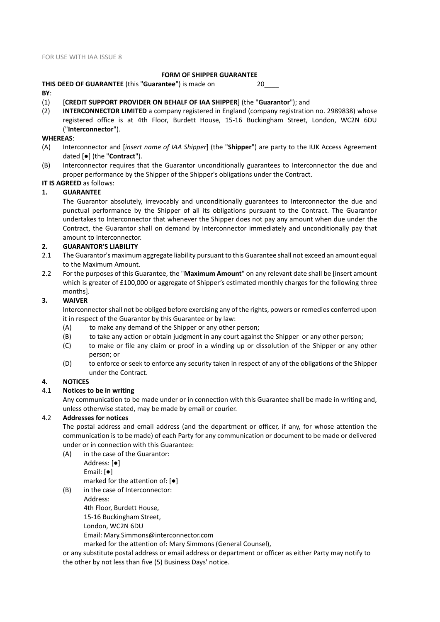# **FORM OF SHIPPER GUARANTEE**

**THIS DEED OF GUARANTEE** (this "**Guarantee**") is made on 20\_\_\_\_ **BY**:

- (1) [**CREDIT SUPPORT PROVIDER ON BEHALF OF IAA SHIPPER**] (the "**Guarantor**"); and
- (2) **INTERCONNECTOR LIMITED** a company registered in England (company registration no. 2989838) whose registered office is at 4th Floor, Burdett House, 15-16 Buckingham Street, London, WC2N 6DU ("**Interconnector**").

#### **WHEREAS**:

- (A) Interconnector and [*insert name of IAA Shipper*] (the "**Shipper**") are party to the IUK Access Agreement dated [●] (the "**Contract**").
- (B) Interconnector requires that the Guarantor unconditionally guarantees to Interconnector the due and proper performance by the Shipper of the Shipper's obligations under the Contract.

**IT IS AGREED** as follows:

## **1. GUARANTEE**

The Guarantor absolutely, irrevocably and unconditionally guarantees to Interconnector the due and punctual performance by the Shipper of all its obligations pursuant to the Contract. The Guarantor undertakes to Interconnector that whenever the Shipper does not pay any amount when due under the Contract, the Guarantor shall on demand by Interconnector immediately and unconditionally pay that amount to Interconnector.

#### **2. GUARANTOR'S LIABILITY**

- 2.1 The Guarantor's maximum aggregate liability pursuant to this Guarantee shall not exceed an amount equal to the Maximum Amount.
- 2.2 For the purposes of this Guarantee, the "**Maximum Amount**" on any relevant date shall be [insert amount which is greater of £100,000 or aggregate of Shipper's estimated monthly charges for the following three months].

#### **3. WAIVER**

Interconnector shall not be obliged before exercising any of the rights, powers or remedies conferred upon it in respect of the Guarantor by this Guarantee or by law:

- (A) to make any demand of the Shipper or any other person;
- (B) to take any action or obtain judgment in any court against the Shipper or any other person;
- (C) to make or file any claim or proof in a winding up or dissolution of the Shipper or any other person; or
- <span id="page-0-1"></span>(D) to enforce or seek to enforce any security taken in respect of any of the obligations of the Shipper under the Contract.

#### **4. NOTICES**

#### 4.1 **Notices to be in writing**

Any communication to be made under or in connection with this Guarantee shall be made in writing and, unless otherwise stated, may be made by email or courier.

### 4.2 **Addresses for notices**

<span id="page-0-0"></span>The postal address and email address (and the department or officer, if any, for whose attention the communication is to be made) of each Party for any communication or document to be made or delivered under or in connection with this Guarantee:

(A) in the case of the Guarantor: Address: [●]

Email: [●] marked for the attention of: [●]

(B) in the case of Interconnector:

Address:

4th Floor, Burdett House,

15-16 Buckingham Street,

London, WC2N 6DU

Email: Mary.Simmons@interconnector.com

marked for the attention of: Mary Simmons (General Counsel),

or any substitute postal address or email address or department or officer as either Party may notify to the other by not less than five (5) Business Days' notice.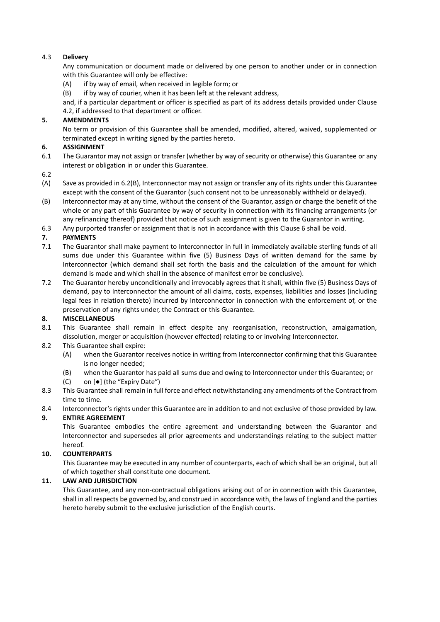## 4.3 **Delivery**

Any communication or document made or delivered by one person to another under or in connection with this Guarantee will only be effective:

- (A) if by way of email, when received in legible form; or
- (B) if by way of courier, when it has been left at the relevant address,

and, if a particular department or officer is specified as part of its address details provided under Clause [4.2,](#page-0-0) if addressed to that department or officer.

## **5. AMENDMENTS**

<span id="page-1-1"></span>No term or provision of this Guarantee shall be amended, modified, altered, waived, supplemented or terminated except in writing signed by the parties hereto.

### **6. ASSIGNMENT**

- 6.1 The Guarantor may not assign or transfer (whether by way of security or otherwise) this Guarantee or any interest or obligation in or under this Guarantee.
- 6.2
- (A) Save as provided in [6.2\(B\),](#page-1-0) Interconnector may not assign or transfer any of its rights under this Guarantee except with the consent of the Guarantor (such consent not to be unreasonably withheld or delayed).
- <span id="page-1-0"></span>(B) Interconnector may at any time, without the consent of the Guarantor, assign or charge the benefit of the whole or any part of this Guarantee by way of security in connection with its financing arrangements (or any refinancing thereof) provided that notice of such assignment is given to the Guarantor in writing.
- 6.3 Any purported transfer or assignment that is not in accordance with this Clause [6](#page-1-1) shall be void.

## **7. PAYMENTS**

- 7.1 The Guarantor shall make payment to Interconnector in full in immediately available sterling funds of all sums due under this Guarantee within five (5) Business Days of written demand for the same by Interconnector (which demand shall set forth the basis and the calculation of the amount for which demand is made and which shall in the absence of manifest error be conclusive).
- 7.2 The Guarantor hereby unconditionally and irrevocably agrees that it shall, within five (5) Business Days of demand, pay to Interconnector the amount of all claims, costs, expenses, liabilities and losses (including legal fees in relation thereto) incurred by Interconnector in connection with the enforcement of, or the preservation of any rights under, the Contract or this Guarantee.

# **8. MISCELLANEOUS**

- 8.1 This Guarantee shall remain in effect despite any reorganisation, reconstruction, amalgamation, dissolution, merger or acquisition (however effected) relating to or involving Interconnector.
- 8.2 This Guarantee shall expire:
	- (A) when the Guarantor receives notice in writing from Interconnector confirming that this Guarantee is no longer needed;
	- (B) when the Guarantor has paid all sums due and owing to Interconnector under this Guarantee; or
	- (C) on [●] (the "Expiry Date")
- 8.3 This Guarantee shall remain in full force and effect notwithstanding any amendments of the Contract from time to time.
- 8.4 Interconnector's rights under this Guarantee are in addition to and not exclusive of those provided by law.

# **9. ENTIRE AGREEMENT**

This Guarantee embodies the entire agreement and understanding between the Guarantor and Interconnector and supersedes all prior agreements and understandings relating to the subject matter hereof.

# **10. COUNTERPARTS**

This Guarantee may be executed in any number of counterparts, each of which shall be an original, but all of which together shall constitute one document.

## **11. LAW AND JURISDICTION**

This Guarantee, and any non-contractual obligations arising out of or in connection with this Guarantee, shall in all respects be governed by, and construed in accordance with, the laws of England and the parties hereto hereby submit to the exclusive jurisdiction of the English courts.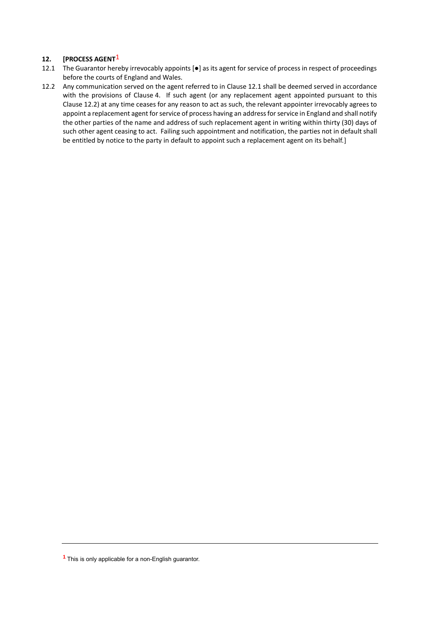# **12. [PROCESS AGENT**1

- <span id="page-2-0"></span>12.1 The Guarantor hereby irrevocably appoints [●] as its agent for service of process in respect of proceedings before the courts of England and Wales.
- <span id="page-2-1"></span>12.2 Any communication served on the agent referred to in Clause [12.1](#page-2-0) shall be deemed served in accordance with the provisions of Clause [4.](#page-0-1) If such agent (or any replacement agent appointed pursuant to this Clause [12.2\)](#page-2-1) at any time ceases for any reason to act as such, the relevant appointer irrevocably agrees to appoint a replacement agent for service of process having an address for service in England and shall notify the other parties of the name and address of such replacement agent in writing within thirty (30) days of such other agent ceasing to act. Failing such appointment and notification, the parties not in default shall be entitled by notice to the party in default to appoint such a replacement agent on its behalf.]

**<sup>1</sup>** This is only applicable for a non-English guarantor.